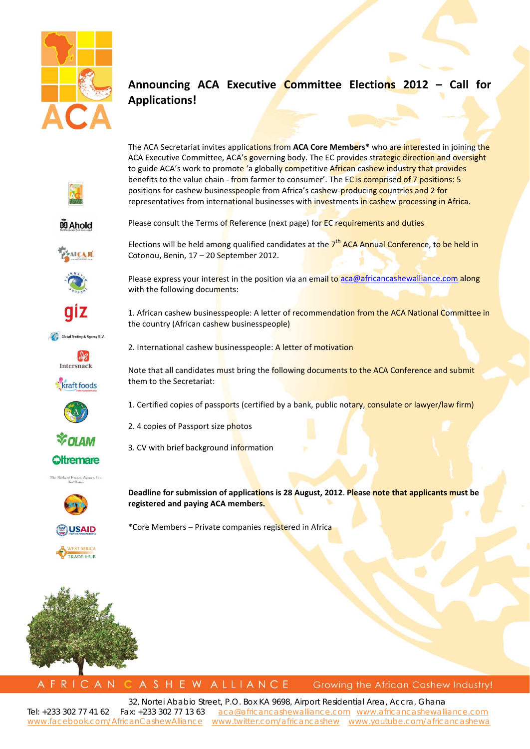

# **Announcing ACA Executive Committee Elections 2012 – Call for Applications!**



**ØAhold** 







Global Trading & Agency B.V.













**Deadline for submission of applications is 28 August, 2012**. **Please note that applicants must be registered and paying ACA members.**





 $F R C$ A N A S H E W ALLIANCE

Growing the African Cashew Industry!

32, Nortei Ababio Street, P.O. Box KA 9698, Airport Residential Area, Accra, Ghana Tel: +233 302 77 41 62 Fax: +233 302 77 13 63 [aca@africancashewalliance.com](mailto:aca@africancashewalliance.com) [www.africancashewalliance.com](http://www.africancashewalliance.com/) [www.facebook.com/AfricanCashewAlliance](http://www.facebook.com/AfricanCashewAlliance) [www.twitter.com/africancashew](http://www.twitter.com/africancashew) [www.youtube.com/africancashewa](http://www.youtube.com/africancashewa)

The ACA Secretariat invites applications from **ACA Core Members\*** who are interested in joining the ACA Executive Committee, ACA's governing body. The EC provides strategic direction and oversight to guide ACA's work to promote 'a globally competitive African cashew industry that provides benefits to the value chain - from farmer to consumer'. The EC is comprised of 7 positions: 5 positions for cashew businesspeople from Africa's cashew-producing countries and 2 for representatives from international businesses with investments in cashew processing in Africa.

Please consult the Terms of Reference (next page) for EC requirements and duties

Elections will be held among qualified candidates at the 7<sup>th</sup> ACA Annual Conference, to be held in Cotonou, Benin, 17 – 20 September 2012.

Please express your interest in the position via an email t[o aca@africancashewalliance.com](mailto:aca@africancashewalliance.com) along with the following documents:

1. African cashew businesspeople: A letter of recommendation from the ACA National Committee in the country (African cashew businesspeople)

2. International cashew businesspeople: A letter of motivation

Note that all candidates must bring the following documents to the ACA Conference and submit them to the Secretariat:

1. Certified copies of passports (certified by a bank, public notary, consulate or lawyer/law firm)

3. CV with brief background information

2. 4 copies of Passport size photos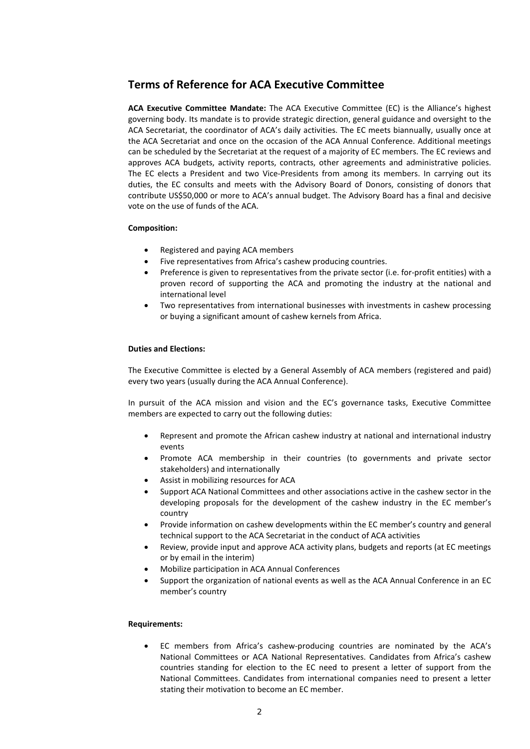## **Terms of Reference for ACA Executive Committee**

**ACA Executive Committee Mandate:** The ACA Executive Committee (EC) is the Alliance's highest governing body. Its mandate is to provide strategic direction, general guidance and oversight to the ACA Secretariat, the coordinator of ACA's daily activities. The EC meets biannually, usually once at the ACA Secretariat and once on the occasion of the ACA Annual Conference. Additional meetings can be scheduled by the Secretariat at the request of a majority of EC members. The EC reviews and approves ACA budgets, activity reports, contracts, other agreements and administrative policies. The EC elects a President and two Vice-Presidents from among its members. In carrying out its duties, the EC consults and meets with the Advisory Board of Donors, consisting of donors that contribute US\$50,000 or more to ACA's annual budget. The Advisory Board has a final and decisive vote on the use of funds of the ACA.

### **Composition:**

- Registered and paying ACA members
- Five representatives from Africa's cashew producing countries.
- Preference is given to representatives from the private sector (i.e. for-profit entities) with a proven record of supporting the ACA and promoting the industry at the national and international level
- Two representatives from international businesses with investments in cashew processing or buying a significant amount of cashew kernels from Africa.

### **Duties and Elections:**

The Executive Committee is elected by a General Assembly of ACA members (registered and paid) every two years (usually during the ACA Annual Conference).

In pursuit of the ACA mission and vision and the EC's governance tasks, Executive Committee members are expected to carry out the following duties:

- Represent and promote the African cashew industry at national and international industry events
- Promote ACA membership in their countries (to governments and private sector stakeholders) and internationally
- Assist in mobilizing resources for ACA
- Support ACA National Committees and other associations active in the cashew sector in the developing proposals for the development of the cashew industry in the EC member's country
- Provide information on cashew developments within the EC member's country and general technical support to the ACA Secretariat in the conduct of ACA activities
- Review, provide input and approve ACA activity plans, budgets and reports (at EC meetings or by email in the interim)
- Mobilize participation in ACA Annual Conferences
- Support the organization of national events as well as the ACA Annual Conference in an EC member's country

### **Requirements:**

• EC members from Africa's cashew-producing countries are nominated by the ACA's National Committees or ACA National Representatives. Candidates from Africa's cashew countries standing for election to the EC need to present a letter of support from the National Committees. Candidates from international companies need to present a letter stating their motivation to become an EC member.